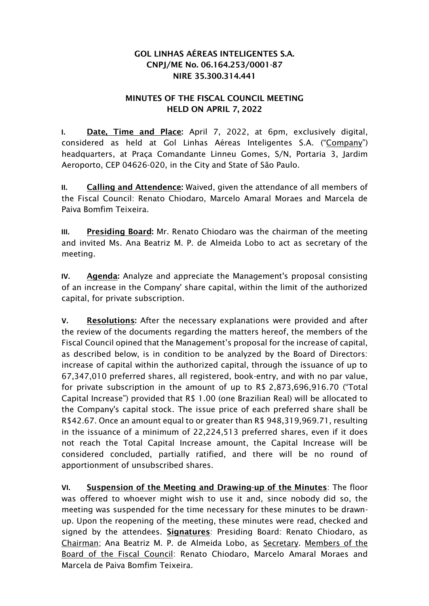## GOL LINHAS AÉREAS INTELIGENTES S.A. CNPJ/ME No. 06.164.253/0001-87 NIRE 35.300.314.441

## MINUTES OF THE FISCAL COUNCIL MEETING HELD ON APRIL 7, 2022

**I.** Date, Time and Place: April 7, 2022, at 6pm, exclusively digital, considered as held at Gol Linhas Aéreas Inteligentes S.A. ("Company") headquarters, at Praça Comandante Linneu Gomes, S/N, Portaria 3, Jardim Aeroporto, CEP 04626-020, in the City and State of São Paulo.

**II.** Calling and Attendence: Waived, given the attendance of all members of the Fiscal Council: Renato Chiodaro, Marcelo Amaral Moraes and Marcela de Paiva Bomfim Teixeira.

**III.** Presiding Board: Mr. Renato Chiodaro was the chairman of the meeting and invited Ms. Ana Beatriz M. P. de Almeida Lobo to act as secretary of the meeting.

**IV.** Agenda: Analyze and appreciate the Management's proposal consisting of an increase in the Company' share capital, within the limit of the authorized capital, for private subscription.

**V.** Resolutions: After the necessary explanations were provided and after the review of the documents regarding the matters hereof, the members of the Fiscal Council opined that the Management's proposal for the increase of capital, as described below, is in condition to be analyzed by the Board of Directors: increase of capital within the authorized capital, through the issuance of up to 67,347,010 preferred shares, all registered, book-entry, and with no par value, for private subscription in the amount of up to R\$ 2,873,696,916.70 ("Total Capital Increase") provided that R\$ 1.00 (one Brazilian Real) will be allocated to the Company's capital stock. The issue price of each preferred share shall be R\$42.67. Once an amount equal to or greater than R\$ 948,319,969.71, resulting in the issuance of a minimum of 22,224,513 preferred shares, even if it does not reach the Total Capital Increase amount, the Capital Increase will be considered concluded, partially ratified, and there will be no round of apportionment of unsubscribed shares.

**VI.** Suspension of the Meeting and Drawing-up of the Minutes: The floor was offered to whoever might wish to use it and, since nobody did so, the meeting was suspended for the time necessary for these minutes to be drawnup. Upon the reopening of the meeting, these minutes were read, checked and signed by the attendees. **Signatures:** Presiding Board: Renato Chiodaro, as Chairman; Ana Beatriz M. P. de Almeida Lobo, as Secretary. Members of the Board of the Fiscal Council: Renato Chiodaro, Marcelo Amaral Moraes and Marcela de Paiva Bomfim Teixeira.